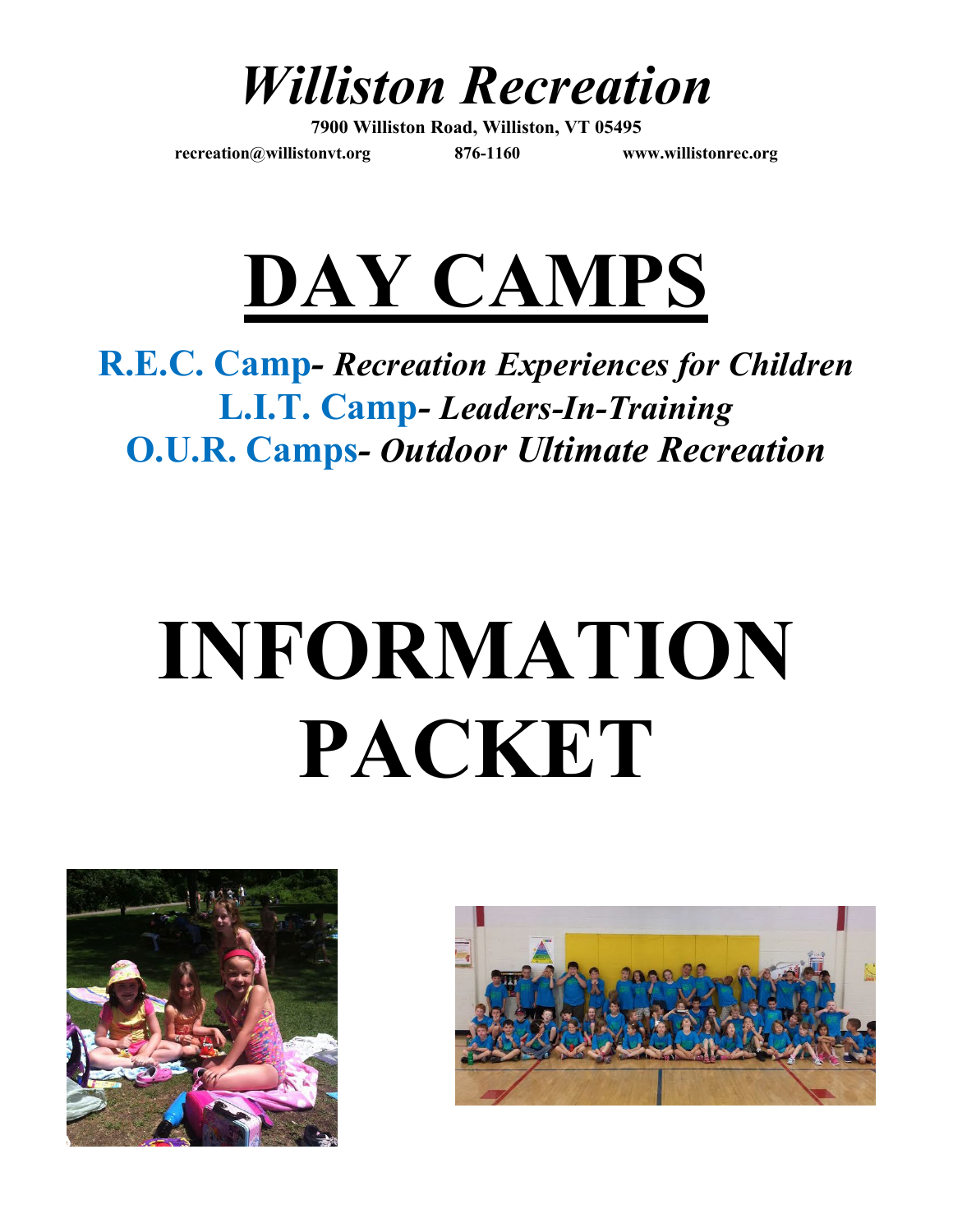*Williston Recreation*

**7900 Williston Road, Williston, VT 05495 [recreation@willistonvt.org](mailto:recreation@willistonvt.org) 876-1160 www.willistonrec.org**



# **R.E.C. Camp***- Recreation Experiences for Children* **L.I.T. Camp***- Leaders-In-Training* **O.U.R. Camps***- Outdoor Ultimate Recreation*

# **INFORMATION PACKET**



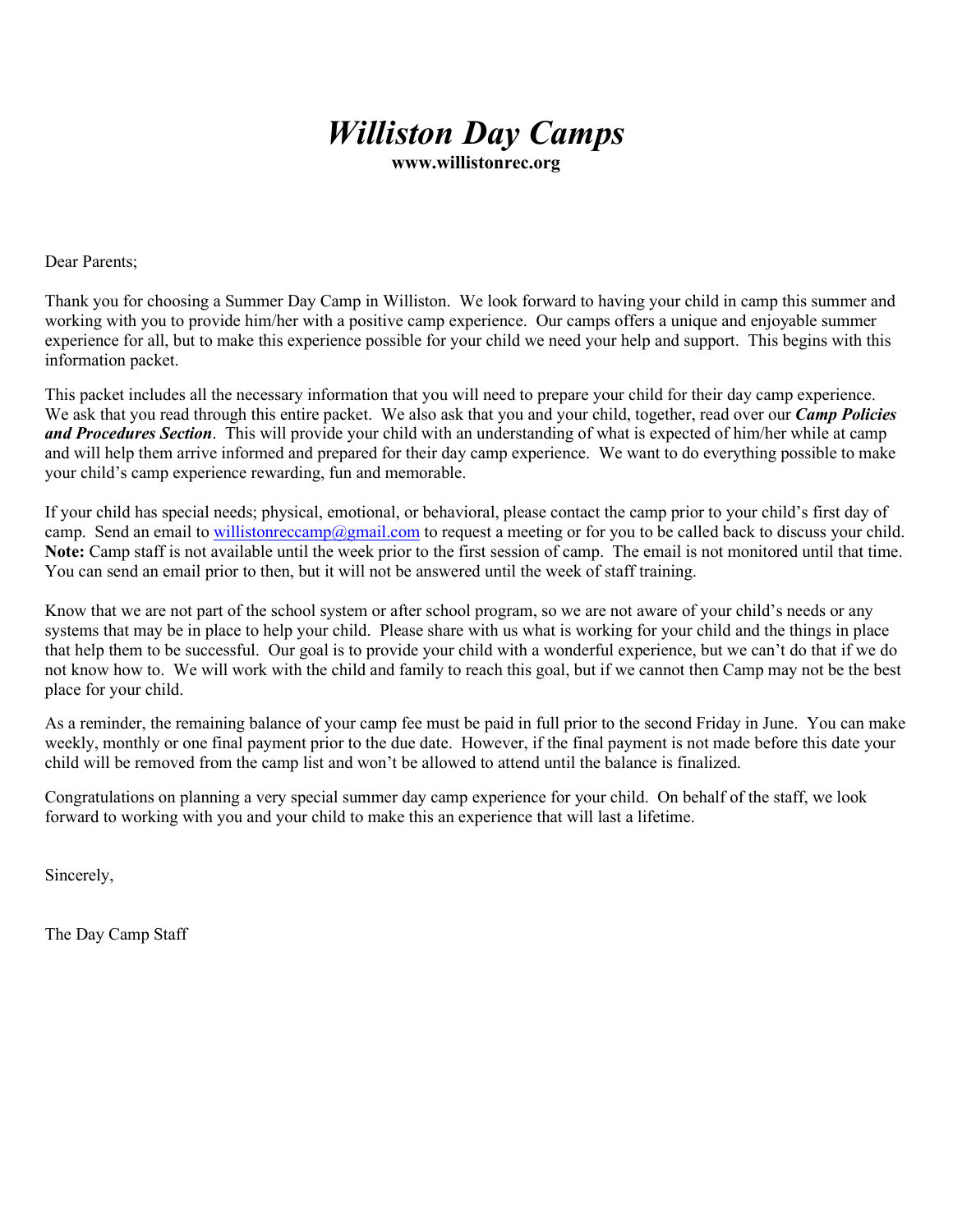## *Williston Day Camps*

**www.willistonrec.org**

Dear Parents;

Thank you for choosing a Summer Day Camp in Williston. We look forward to having your child in camp this summer and working with you to provide him/her with a positive camp experience. Our camps offers a unique and enjoyable summer experience for all, but to make this experience possible for your child we need your help and support. This begins with this information packet.

This packet includes all the necessary information that you will need to prepare your child for their day camp experience. We ask that you read through this entire packet. We also ask that you and your child, together, read over our *Camp Policies and Procedures Section*. This will provide your child with an understanding of what is expected of him/her while at camp and will help them arrive informed and prepared for their day camp experience. We want to do everything possible to make your child's camp experience rewarding, fun and memorable.

If your child has special needs; physical, emotional, or behavioral, please contact the camp prior to your child's first day of camp. Send an email to [willistonreccamp@gmail.com](mailto:willistonreccamp@gmail.com) to request a meeting or for you to be called back to discuss your child. **Note:** Camp staff is not available until the week prior to the first session of camp. The email is not monitored until that time. You can send an email prior to then, but it will not be answered until the week of staff training.

Know that we are not part of the school system or after school program, so we are not aware of your child's needs or any systems that may be in place to help your child. Please share with us what is working for your child and the things in place that help them to be successful. Our goal is to provide your child with a wonderful experience, but we can't do that if we do not know how to. We will work with the child and family to reach this goal, but if we cannot then Camp may not be the best place for your child.

As a reminder, the remaining balance of your camp fee must be paid in full prior to the second Friday in June. You can make weekly, monthly or one final payment prior to the due date. However, if the final payment is not made before this date your child will be removed from the camp list and won't be allowed to attend until the balance is finalized.

Congratulations on planning a very special summer day camp experience for your child. On behalf of the staff, we look forward to working with you and your child to make this an experience that will last a lifetime.

Sincerely,

The Day Camp Staff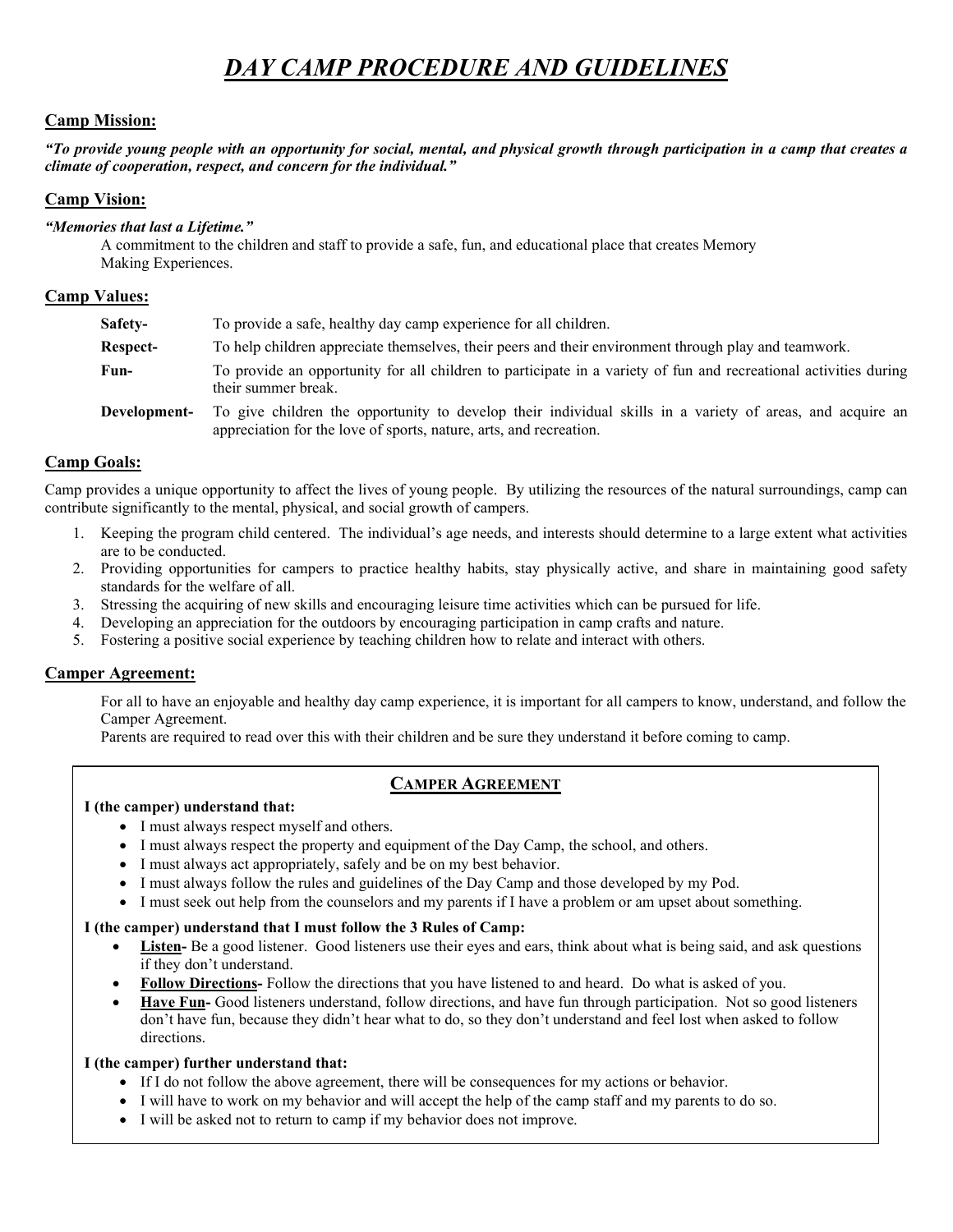## *DAY CAMP PROCEDURE AND GUIDELINES*

## **Camp Mission:**

*"To provide young people with an opportunity for social, mental, and physical growth through participation in a camp that creates a climate of cooperation, respect, and concern for the individual."*

## **Camp Vision:**

## *"Memories that last a Lifetime."*

A commitment to the children and staff to provide a safe, fun, and educational place that creates Memory Making Experiences.

## **Camp Values:**

| Safety-      | To provide a safe, healthy day camp experience for all children.                                                                                                                |
|--------------|---------------------------------------------------------------------------------------------------------------------------------------------------------------------------------|
| Respect-     | To help children appreciate themselves, their peers and their environment through play and teamwork.                                                                            |
| Fun-         | To provide an opportunity for all children to participate in a variety of fun and recreational activities during<br>their summer break.                                         |
| Development- | To give children the opportunity to develop their individual skills in a variety of areas, and acquire an<br>appreciation for the love of sports, nature, arts, and recreation. |

## **Camp Goals:**

Camp provides a unique opportunity to affect the lives of young people. By utilizing the resources of the natural surroundings, camp can contribute significantly to the mental, physical, and social growth of campers.

- 1. Keeping the program child centered. The individual's age needs, and interests should determine to a large extent what activities are to be conducted.
- 2. Providing opportunities for campers to practice healthy habits, stay physically active, and share in maintaining good safety standards for the welfare of all.
- 3. Stressing the acquiring of new skills and encouraging leisure time activities which can be pursued for life.
- 4. Developing an appreciation for the outdoors by encouraging participation in camp crafts and nature.
- 5. Fostering a positive social experience by teaching children how to relate and interact with others.

## **Camper Agreement:**

For all to have an enjoyable and healthy day camp experience, it is important for all campers to know, understand, and follow the Camper Agreement.

Parents are required to read over this with their children and be sure they understand it before coming to camp.

## **CAMPER AGREEMENT**

## **I (the camper) understand that:**

- I must always respect myself and others.
- I must always respect the property and equipment of the Day Camp, the school, and others.
- I must always act appropriately, safely and be on my best behavior.
- I must always follow the rules and guidelines of the Day Camp and those developed by my Pod.
- I must seek out help from the counselors and my parents if I have a problem or am upset about something.

## **I (the camper) understand that I must follow the 3 Rules of Camp:**

- Listen- Be a good listener. Good listeners use their eyes and ears, think about what is being said, and ask questions if they don't understand.
- **Follow Directions-** Follow the directions that you have listened to and heard. Do what is asked of you.
- **Have Fun-** Good listeners understand, follow directions, and have fun through participation. Not so good listeners don't have fun, because they didn't hear what to do, so they don't understand and feel lost when asked to follow directions.

## **I (the camper) further understand that:**

- If I do not follow the above agreement, there will be consequences for my actions or behavior.
- I will have to work on my behavior and will accept the help of the camp staff and my parents to do so.
- I will be asked not to return to camp if my behavior does not improve.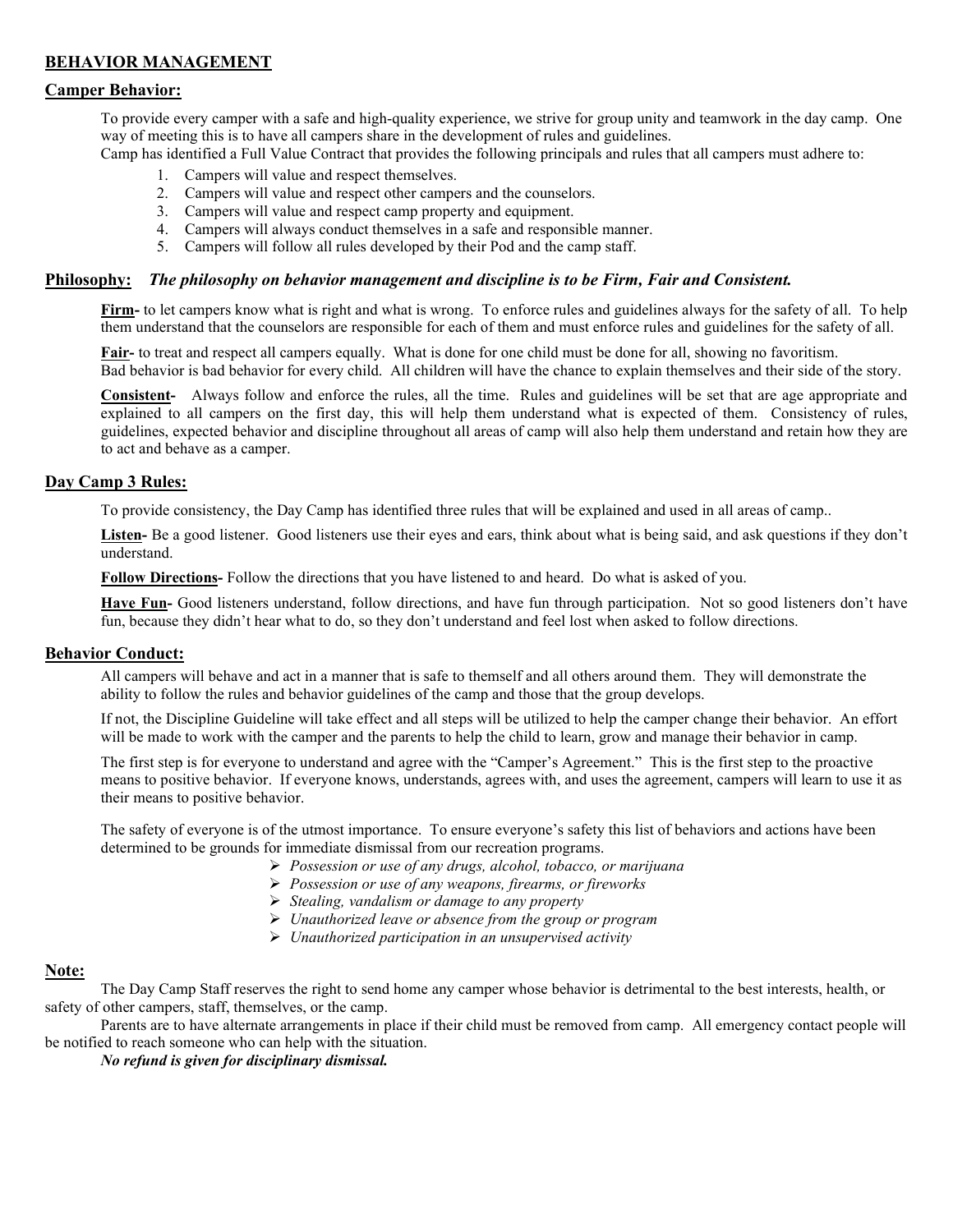## **BEHAVIOR MANAGEMENT**

## **Camper Behavior:**

To provide every camper with a safe and high-quality experience, we strive for group unity and teamwork in the day camp. One way of meeting this is to have all campers share in the development of rules and guidelines.

Camp has identified a Full Value Contract that provides the following principals and rules that all campers must adhere to:

- 1. Campers will value and respect themselves.
- 2. Campers will value and respect other campers and the counselors.
- 3. Campers will value and respect camp property and equipment.
- 4. Campers will always conduct themselves in a safe and responsible manner.
- 5. Campers will follow all rules developed by their Pod and the camp staff.

### **Philosophy:** *The philosophy on behavior management and discipline is to be Firm, Fair and Consistent.*

**Firm-** to let campers know what is right and what is wrong. To enforce rules and guidelines always for the safety of all. To help them understand that the counselors are responsible for each of them and must enforce rules and guidelines for the safety of all.

**Fair-** to treat and respect all campers equally. What is done for one child must be done for all, showing no favoritism. Bad behavior is bad behavior for every child. All children will have the chance to explain themselves and their side of the story.

**Consistent-** Always follow and enforce the rules, all the time. Rules and guidelines will be set that are age appropriate and explained to all campers on the first day, this will help them understand what is expected of them. Consistency of rules, guidelines, expected behavior and discipline throughout all areas of camp will also help them understand and retain how they are to act and behave as a camper.

## **Day Camp 3 Rules:**

To provide consistency, the Day Camp has identified three rules that will be explained and used in all areas of camp..

Listen- Be a good listener. Good listeners use their eyes and ears, think about what is being said, and ask questions if they don't understand.

**Follow Directions-** Follow the directions that you have listened to and heard. Do what is asked of you.

**Have Fun-** Good listeners understand, follow directions, and have fun through participation. Not so good listeners don't have fun, because they didn't hear what to do, so they don't understand and feel lost when asked to follow directions.

#### **Behavior Conduct:**

All campers will behave and act in a manner that is safe to themself and all others around them. They will demonstrate the ability to follow the rules and behavior guidelines of the camp and those that the group develops.

If not, the Discipline Guideline will take effect and all steps will be utilized to help the camper change their behavior. An effort will be made to work with the camper and the parents to help the child to learn, grow and manage their behavior in camp.

The first step is for everyone to understand and agree with the "Camper's Agreement." This is the first step to the proactive means to positive behavior. If everyone knows, understands, agrees with, and uses the agreement, campers will learn to use it as their means to positive behavior.

The safety of everyone is of the utmost importance. To ensure everyone's safety this list of behaviors and actions have been determined to be grounds for immediate dismissal from our recreation programs.

- *Possession or use of any drugs, alcohol, tobacco, or marijuana*
- *Possession or use of any weapons, firearms, or fireworks*
- *Stealing, vandalism or damage to any property*
- *Unauthorized leave or absence from the group or program*
- *Unauthorized participation in an unsupervised activity*

## **Note:**

The Day Camp Staff reserves the right to send home any camper whose behavior is detrimental to the best interests, health, or safety of other campers, staff, themselves, or the camp.

Parents are to have alternate arrangements in place if their child must be removed from camp. All emergency contact people will be notified to reach someone who can help with the situation.

*No refund is given for disciplinary dismissal.*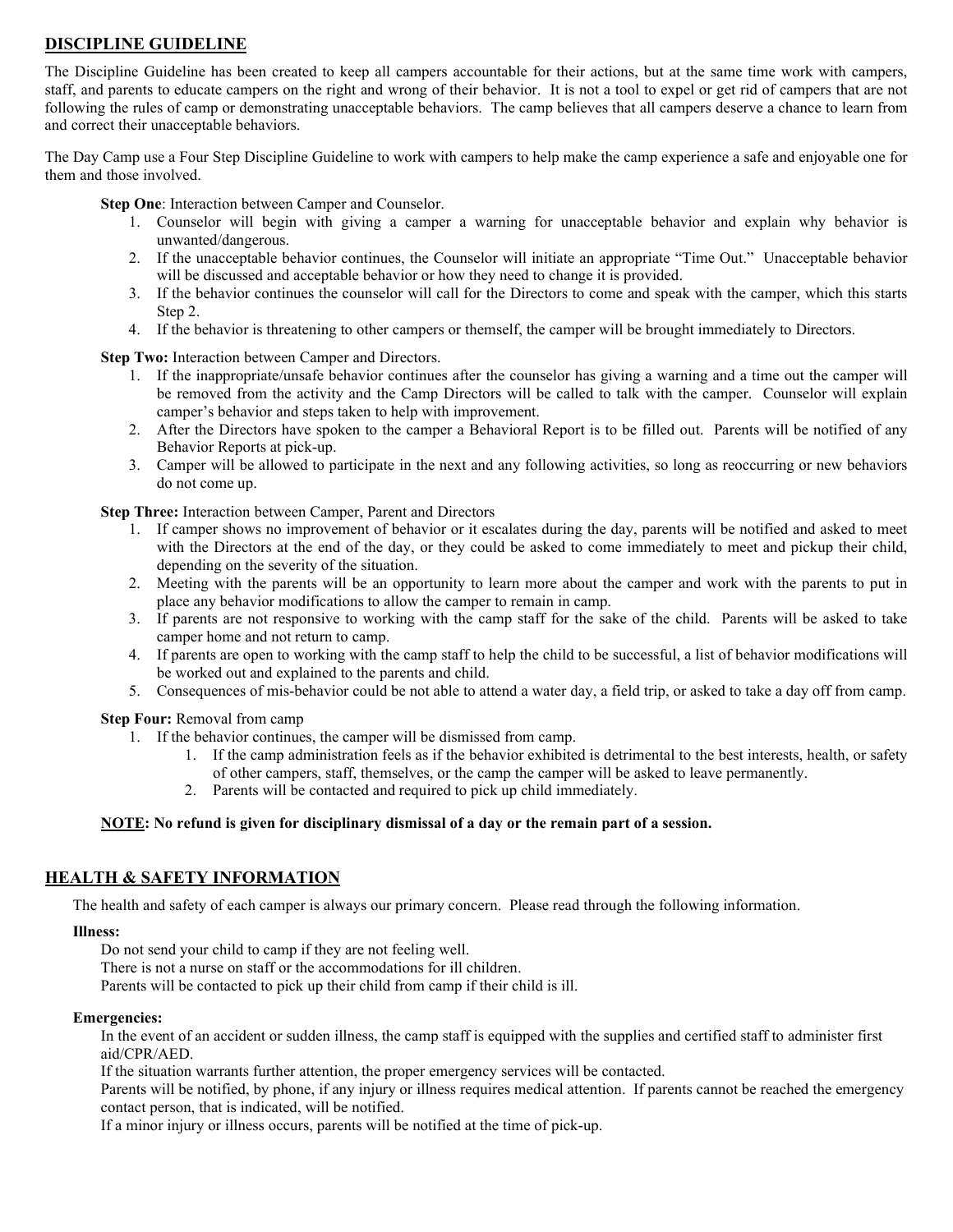## **DISCIPLINE GUIDELINE**

The Discipline Guideline has been created to keep all campers accountable for their actions, but at the same time work with campers, staff, and parents to educate campers on the right and wrong of their behavior. It is not a tool to expel or get rid of campers that are not following the rules of camp or demonstrating unacceptable behaviors. The camp believes that all campers deserve a chance to learn from and correct their unacceptable behaviors.

The Day Camp use a Four Step Discipline Guideline to work with campers to help make the camp experience a safe and enjoyable one for them and those involved.

**Step One**: Interaction between Camper and Counselor.

- 1. Counselor will begin with giving a camper a warning for unacceptable behavior and explain why behavior is unwanted/dangerous.
- 2. If the unacceptable behavior continues, the Counselor will initiate an appropriate "Time Out." Unacceptable behavior will be discussed and acceptable behavior or how they need to change it is provided.
- 3. If the behavior continues the counselor will call for the Directors to come and speak with the camper, which this starts Step 2.
- 4. If the behavior is threatening to other campers or themself, the camper will be brought immediately to Directors.

**Step Two:** Interaction between Camper and Directors.

- 1. If the inappropriate/unsafe behavior continues after the counselor has giving a warning and a time out the camper will be removed from the activity and the Camp Directors will be called to talk with the camper. Counselor will explain camper's behavior and steps taken to help with improvement.
- 2. After the Directors have spoken to the camper a Behavioral Report is to be filled out. Parents will be notified of any Behavior Reports at pick-up.
- 3. Camper will be allowed to participate in the next and any following activities, so long as reoccurring or new behaviors do not come up.

**Step Three:** Interaction between Camper, Parent and Directors

- 1. If camper shows no improvement of behavior or it escalates during the day, parents will be notified and asked to meet with the Directors at the end of the day, or they could be asked to come immediately to meet and pickup their child, depending on the severity of the situation.
- 2. Meeting with the parents will be an opportunity to learn more about the camper and work with the parents to put in place any behavior modifications to allow the camper to remain in camp.
- 3. If parents are not responsive to working with the camp staff for the sake of the child. Parents will be asked to take camper home and not return to camp.
- 4. If parents are open to working with the camp staff to help the child to be successful, a list of behavior modifications will be worked out and explained to the parents and child.
- 5. Consequences of mis-behavior could be not able to attend a water day, a field trip, or asked to take a day off from camp.

**Step Four:** Removal from camp

- 1. If the behavior continues, the camper will be dismissed from camp.
	- 1. If the camp administration feels as if the behavior exhibited is detrimental to the best interests, health, or safety of other campers, staff, themselves, or the camp the camper will be asked to leave permanently.
	- 2. Parents will be contacted and required to pick up child immediately.

## **NOTE: No refund is given for disciplinary dismissal of a day or the remain part of a session.**

## **HEALTH & SAFETY INFORMATION**

The health and safety of each camper is always our primary concern. Please read through the following information.

## **Illness:**

Do not send your child to camp if they are not feeling well.

There is not a nurse on staff or the accommodations for ill children.

Parents will be contacted to pick up their child from camp if their child is ill.

## **Emergencies:**

In the event of an accident or sudden illness, the camp staff is equipped with the supplies and certified staff to administer first aid/CPR/AED.

If the situation warrants further attention, the proper emergency services will be contacted.

Parents will be notified, by phone, if any injury or illness requires medical attention. If parents cannot be reached the emergency contact person, that is indicated, will be notified.

If a minor injury or illness occurs, parents will be notified at the time of pick-up.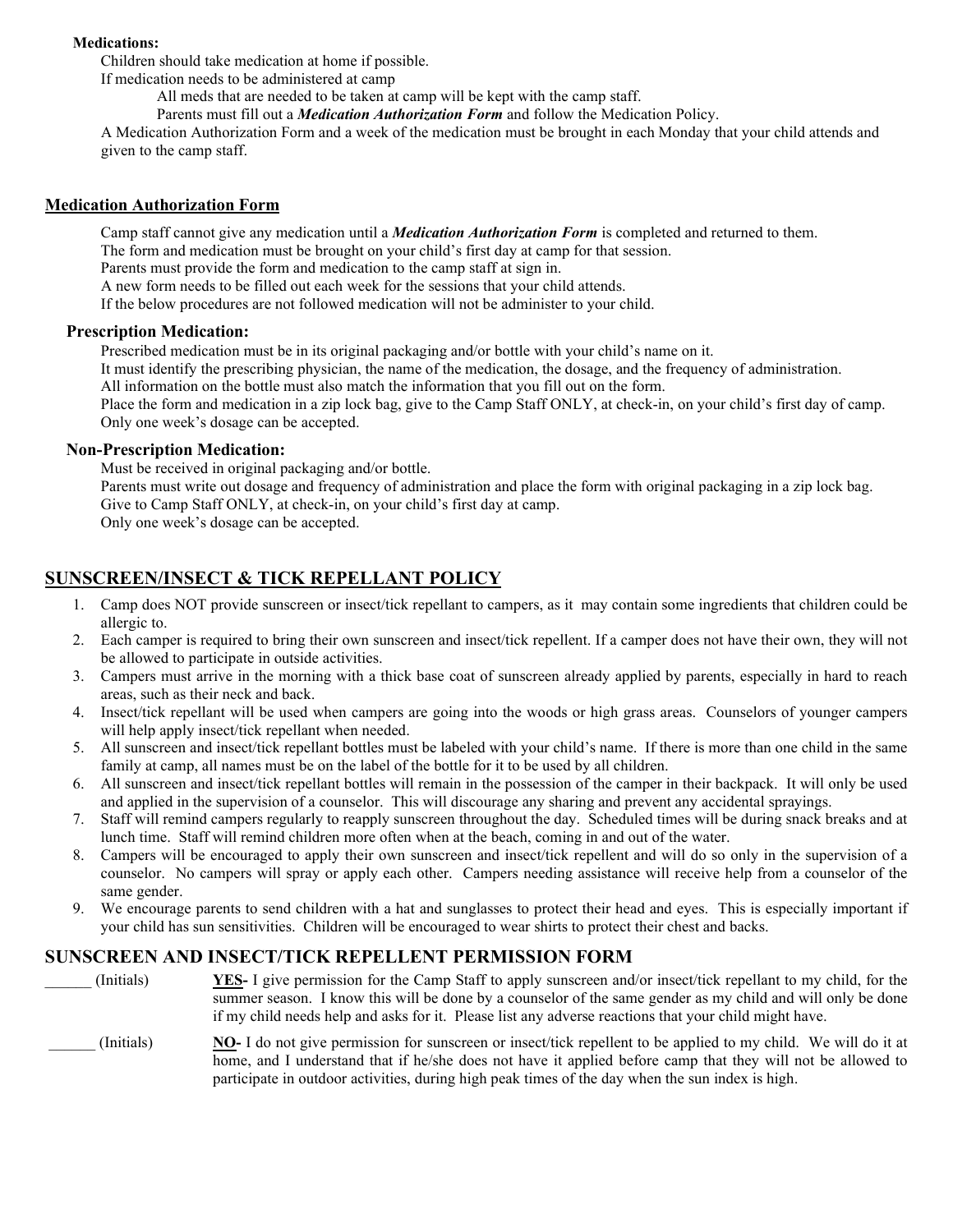## **Medications:**

Children should take medication at home if possible.

If medication needs to be administered at camp

All meds that are needed to be taken at camp will be kept with the camp staff.

Parents must fill out a *Medication Authorization Form* and follow the Medication Policy.

A Medication Authorization Form and a week of the medication must be brought in each Monday that your child attends and given to the camp staff.

## **Medication Authorization Form**

Camp staff cannot give any medication until a *Medication Authorization Form* is completed and returned to them. The form and medication must be brought on your child's first day at camp for that session. Parents must provide the form and medication to the camp staff at sign in. A new form needs to be filled out each week for the sessions that your child attends. If the below procedures are not followed medication will not be administer to your child.

## **Prescription Medication:**

Prescribed medication must be in its original packaging and/or bottle with your child's name on it.

It must identify the prescribing physician, the name of the medication, the dosage, and the frequency of administration.

All information on the bottle must also match the information that you fill out on the form.

Place the form and medication in a zip lock bag, give to the Camp Staff ONLY, at check-in, on your child's first day of camp. Only one week's dosage can be accepted.

## **Non-Prescription Medication:**

Must be received in original packaging and/or bottle.

Parents must write out dosage and frequency of administration and place the form with original packaging in a zip lock bag. Give to Camp Staff ONLY, at check-in, on your child's first day at camp.

Only one week's dosage can be accepted.

## **SUNSCREEN/INSECT & TICK REPELLANT POLICY**

- 1. Camp does NOT provide sunscreen or insect/tick repellant to campers, as it may contain some ingredients that children could be allergic to.
- 2. Each camper is required to bring their own sunscreen and insect/tick repellent. If a camper does not have their own, they will not be allowed to participate in outside activities.
- 3. Campers must arrive in the morning with a thick base coat of sunscreen already applied by parents, especially in hard to reach areas, such as their neck and back.
- 4. Insect/tick repellant will be used when campers are going into the woods or high grass areas. Counselors of younger campers will help apply insect/tick repellant when needed.
- 5. All sunscreen and insect/tick repellant bottles must be labeled with your child's name. If there is more than one child in the same family at camp, all names must be on the label of the bottle for it to be used by all children.
- 6. All sunscreen and insect/tick repellant bottles will remain in the possession of the camper in their backpack. It will only be used and applied in the supervision of a counselor. This will discourage any sharing and prevent any accidental sprayings.
- 7. Staff will remind campers regularly to reapply sunscreen throughout the day. Scheduled times will be during snack breaks and at lunch time. Staff will remind children more often when at the beach, coming in and out of the water.
- 8. Campers will be encouraged to apply their own sunscreen and insect/tick repellent and will do so only in the supervision of a counselor. No campers will spray or apply each other. Campers needing assistance will receive help from a counselor of the same gender.
- 9. We encourage parents to send children with a hat and sunglasses to protect their head and eyes. This is especially important if your child has sun sensitivities. Children will be encouraged to wear shirts to protect their chest and backs.

## **SUNSCREEN AND INSECT/TICK REPELLENT PERMISSION FORM**

| (Initials) | YES- I give permission for the Camp Staff to apply sunscreen and/or insect/tick repellant to my child, for the<br>summer season. I know this will be done by a counselor of the same gender as my child and will only be done<br>if my child needs help and asks for it. Please list any adverse reactions that your child might have. |
|------------|----------------------------------------------------------------------------------------------------------------------------------------------------------------------------------------------------------------------------------------------------------------------------------------------------------------------------------------|
| (Initials) | NO- I do not give permission for sunscreen or insect/tick repellent to be applied to my child. We will do it at<br>home, and I understand that if he/she does not have it applied before camp that they will not be allowed to<br>participate in outdoor activities, during high peak times of the day when the sun index is high.     |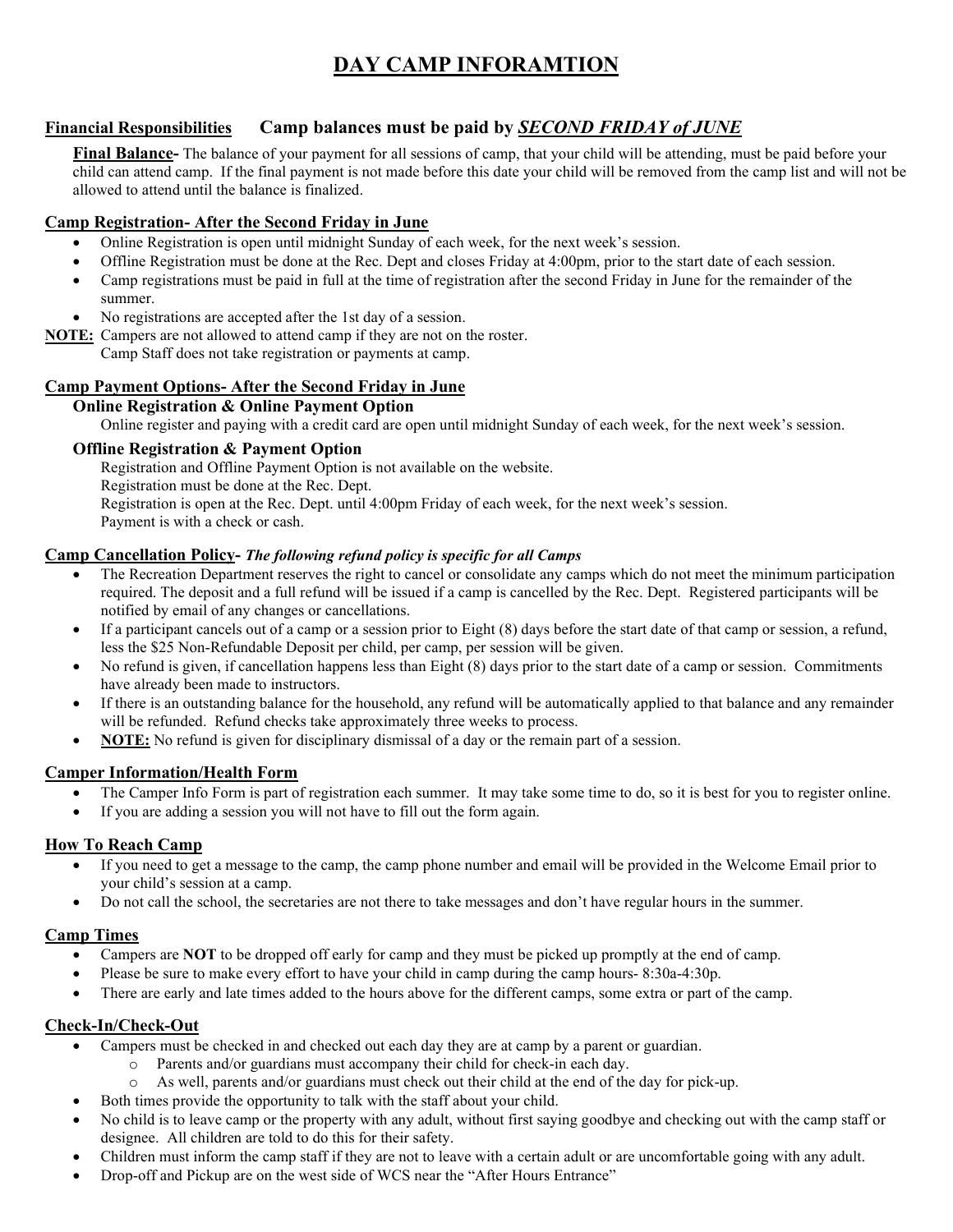## **DAY CAMP INFORAMTION**

## **Financial Responsibilities Camp balances must be paid by** *SECOND FRIDAY of JUNE*

**Final Balance-** The balance of your payment for all sessions of camp, that your child will be attending, must be paid before your child can attend camp. If the final payment is not made before this date your child will be removed from the camp list and will not be allowed to attend until the balance is finalized.

## **Camp Registration- After the Second Friday in June**

- Online Registration is open until midnight Sunday of each week, for the next week's session.
- Offline Registration must be done at the Rec. Dept and closes Friday at 4:00pm, prior to the start date of each session.
- Camp registrations must be paid in full at the time of registration after the second Friday in June for the remainder of the summer.
- No registrations are accepted after the 1st day of a session.
- **NOTE:** Campers are not allowed to attend camp if they are not on the roster. Camp Staff does not take registration or payments at camp.

## **Camp Payment Options- After the Second Friday in June**

## **Online Registration & Online Payment Option**

Online register and paying with a credit card are open until midnight Sunday of each week, for the next week's session.

## **Offline Registration & Payment Option**

Registration and Offline Payment Option is not available on the website. Registration must be done at the Rec. Dept. Registration is open at the Rec. Dept. until 4:00pm Friday of each week, for the next week's session. Payment is with a check or cash.

## **Camp Cancellation Policy-** *The following refund policy is specific for all Camps*

- The Recreation Department reserves the right to cancel or consolidate any camps which do not meet the minimum participation required. The deposit and a full refund will be issued if a camp is cancelled by the Rec. Dept. Registered participants will be notified by email of any changes or cancellations.
- If a participant cancels out of a camp or a session prior to Eight (8) days before the start date of that camp or session, a refund, less the \$25 Non-Refundable Deposit per child, per camp, per session will be given.
- No refund is given, if cancellation happens less than Eight (8) days prior to the start date of a camp or session. Commitments have already been made to instructors.
- If there is an outstanding balance for the household, any refund will be automatically applied to that balance and any remainder will be refunded. Refund checks take approximately three weeks to process.
- **NOTE:** No refund is given for disciplinary dismissal of a day or the remain part of a session.

## **Camper Information/Health Form**

- The Camper Info Form is part of registration each summer. It may take some time to do, so it is best for you to register online.
- If you are adding a session you will not have to fill out the form again.

## **How To Reach Camp**

- If you need to get a message to the camp, the camp phone number and email will be provided in the Welcome Email prior to your child's session at a camp.
- Do not call the school, the secretaries are not there to take messages and don't have regular hours in the summer.

## **Camp Times**

- Campers are **NOT** to be dropped off early for camp and they must be picked up promptly at the end of camp.
- Please be sure to make every effort to have your child in camp during the camp hours- 8:30a-4:30p.
- There are early and late times added to the hours above for the different camps, some extra or part of the camp.

## **Check-In/Check-Out**

- Campers must be checked in and checked out each day they are at camp by a parent or guardian.
	- o Parents and/or guardians must accompany their child for check-in each day.
	- o As well, parents and/or guardians must check out their child at the end of the day for pick-up.
- Both times provide the opportunity to talk with the staff about your child.
- No child is to leave camp or the property with any adult, without first saying goodbye and checking out with the camp staff or designee. All children are told to do this for their safety.
- Children must inform the camp staff if they are not to leave with a certain adult or are uncomfortable going with any adult.
- Drop-off and Pickup are on the west side of WCS near the "After Hours Entrance"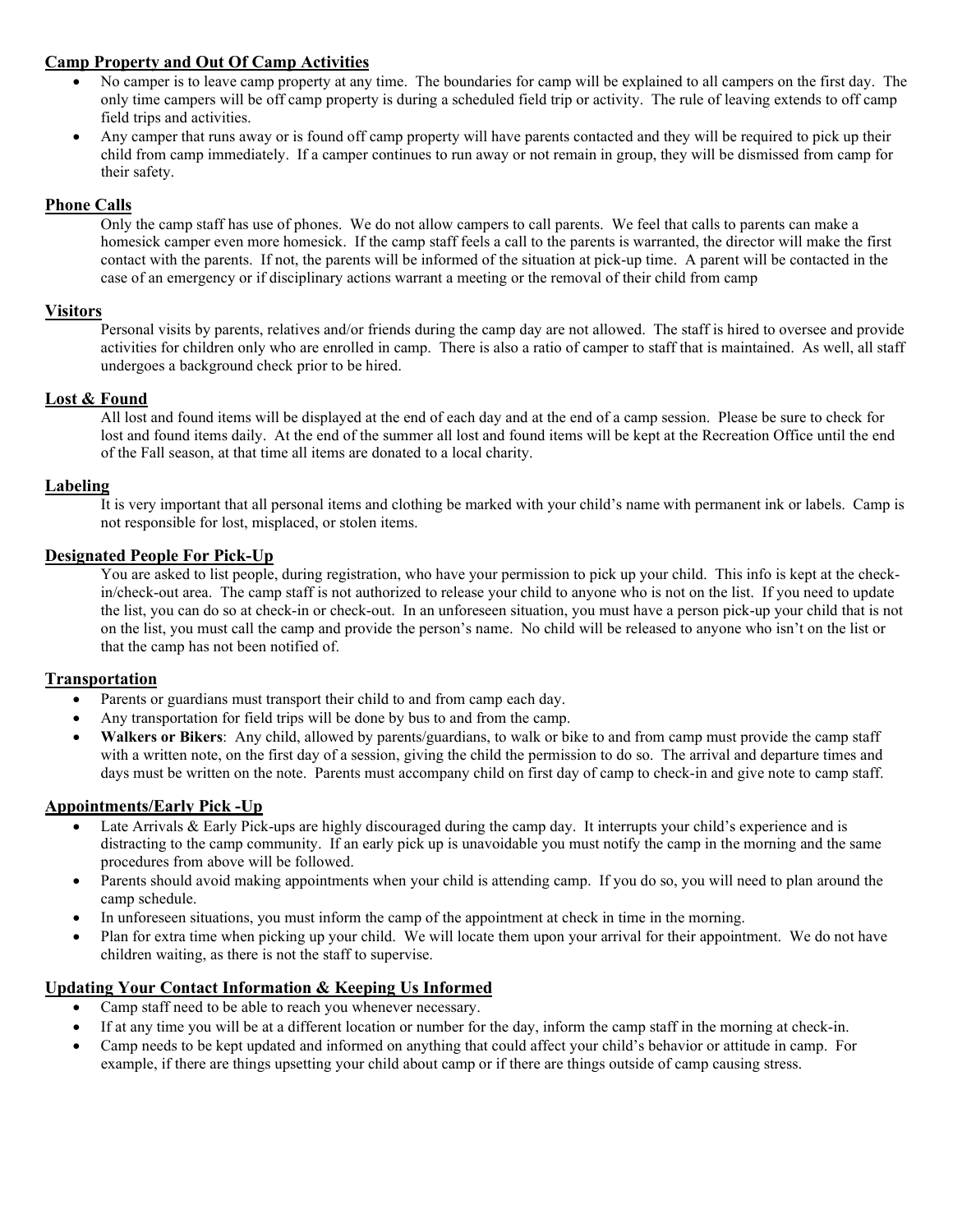## **Camp Property and Out Of Camp Activities**

- No camper is to leave camp property at any time. The boundaries for camp will be explained to all campers on the first day. The only time campers will be off camp property is during a scheduled field trip or activity. The rule of leaving extends to off camp field trips and activities.
- Any camper that runs away or is found off camp property will have parents contacted and they will be required to pick up their child from camp immediately. If a camper continues to run away or not remain in group, they will be dismissed from camp for their safety.

## **Phone Calls**

Only the camp staff has use of phones. We do not allow campers to call parents. We feel that calls to parents can make a homesick camper even more homesick. If the camp staff feels a call to the parents is warranted, the director will make the first contact with the parents. If not, the parents will be informed of the situation at pick-up time. A parent will be contacted in the case of an emergency or if disciplinary actions warrant a meeting or the removal of their child from camp

## **Visitors**

Personal visits by parents, relatives and/or friends during the camp day are not allowed. The staff is hired to oversee and provide activities for children only who are enrolled in camp. There is also a ratio of camper to staff that is maintained. As well, all staff undergoes a background check prior to be hired.

## **Lost & Found**

All lost and found items will be displayed at the end of each day and at the end of a camp session. Please be sure to check for lost and found items daily. At the end of the summer all lost and found items will be kept at the Recreation Office until the end of the Fall season, at that time all items are donated to a local charity.

## **Labeling**

It is very important that all personal items and clothing be marked with your child's name with permanent ink or labels. Camp is not responsible for lost, misplaced, or stolen items.

## **Designated People For Pick-Up**

You are asked to list people, during registration, who have your permission to pick up your child. This info is kept at the checkin/check-out area. The camp staff is not authorized to release your child to anyone who is not on the list. If you need to update the list, you can do so at check-in or check-out. In an unforeseen situation, you must have a person pick-up your child that is not on the list, you must call the camp and provide the person's name. No child will be released to anyone who isn't on the list or that the camp has not been notified of.

## **Transportation**

- Parents or guardians must transport their child to and from camp each day.
- Any transportation for field trips will be done by bus to and from the camp.
- **Walkers or Bikers**: Any child, allowed by parents/guardians, to walk or bike to and from camp must provide the camp staff with a written note, on the first day of a session, giving the child the permission to do so. The arrival and departure times and days must be written on the note. Parents must accompany child on first day of camp to check-in and give note to camp staff.

## **Appointments/Early Pick -Up**

- Late Arrivals & Early Pick-ups are highly discouraged during the camp day. It interrupts your child's experience and is distracting to the camp community. If an early pick up is unavoidable you must notify the camp in the morning and the same procedures from above will be followed.
- Parents should avoid making appointments when your child is attending camp. If you do so, you will need to plan around the camp schedule.
- In unforeseen situations, you must inform the camp of the appointment at check in time in the morning.
- Plan for extra time when picking up your child. We will locate them upon your arrival for their appointment. We do not have children waiting, as there is not the staff to supervise.

## **Updating Your Contact Information & Keeping Us Informed**

- Camp staff need to be able to reach you whenever necessary.
- If at any time you will be at a different location or number for the day, inform the camp staff in the morning at check-in.
- Camp needs to be kept updated and informed on anything that could affect your child's behavior or attitude in camp. For example, if there are things upsetting your child about camp or if there are things outside of camp causing stress.